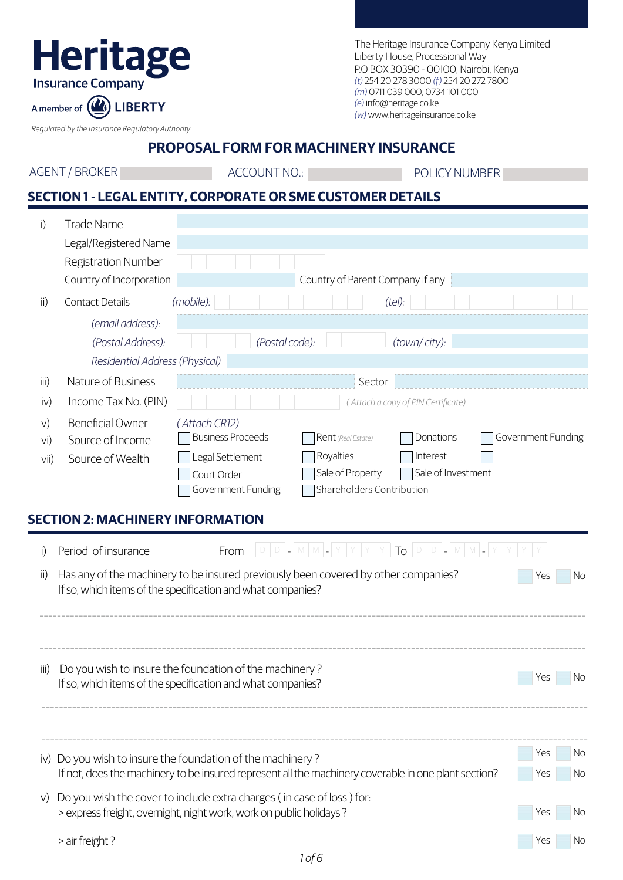## **Heritage Insurance Company**

The Heritage Insurance Company Kenya Limited Liberty House, Processional Way P.O BOX 30390 - 00100, Nairobi, Kenya *(t)* 254 20 278 3000 *(f)* 254 20 272 7800 *(m)* 0711 039 000, 0734 101 000 *(e)* info@heritage.co.ke *(w)* www.heritageinsurance.co.ke

*Regulated by the Insurance Regulatory Authority*

A member of (A) LIBERTY

**PROPOSAL FORM FOR MACHINERY INSURANCE**

ACCOUNT NO.: POLICY NUMBER

## **SECTION 1 - LEGAL ENTITY, CORPORATE OR SME CUSTOMER DETAILS**

| i)                          | <b>Trade Name</b>                                                                                                                                  |                        |
|-----------------------------|----------------------------------------------------------------------------------------------------------------------------------------------------|------------------------|
|                             | Legal/Registered Name<br>Registration Number                                                                                                       |                        |
|                             | Country of Incorporation<br>Country of Parent Company if any                                                                                       |                        |
| $\mathsf{ii}$               | Contact Details<br>(mobile):<br>(tel):                                                                                                             |                        |
|                             | (email address):                                                                                                                                   |                        |
|                             | (Postal code):<br>(Postal Address):<br>(town/city):                                                                                                |                        |
|                             | Residential Address (Physical)                                                                                                                     |                        |
| iii)                        | Nature of Business<br>Sector                                                                                                                       |                        |
| iv)                         | Income Tax No. (PIN)<br>(Attach a copy of PIN Certificate)                                                                                         |                        |
| V)                          | <b>Beneficial Owner</b><br>(Attach CR12)                                                                                                           |                        |
| vi)                         | <b>Business Proceeds</b><br>Government Funding<br>Rent (Real Estate)<br>Donations<br>Source of Income                                              |                        |
| Vi                          | Royalties<br>Interest<br>Legal Settlement<br>Source of Wealth                                                                                      |                        |
|                             | Sale of Investment<br>Sale of Property<br>Court Order<br>Shareholders Contribution<br>Government Funding                                           |                        |
|                             |                                                                                                                                                    |                        |
|                             | <b>SECTION 2: MACHINERY INFORMATION</b>                                                                                                            |                        |
| i)                          | $ D D  =  M M  =  Y Y Y Y TQ D D  =  M M  =  Y $<br>Period of insurance<br>From                                                                    |                        |
| $\mathsf{ii}$               | Has any of the machinery to be insured previously been covered by other companies?<br>Yes                                                          | <b>No</b>              |
|                             | If so, which items of the specification and what companies?                                                                                        |                        |
|                             |                                                                                                                                                    |                        |
|                             |                                                                                                                                                    |                        |
| $\overline{\mathsf{III}}$ ) | Do you wish to insure the foundation of the machinery?                                                                                             |                        |
|                             | Yes<br>If so, which items of the specification and what companies?                                                                                 | $\overline{\text{No}}$ |
|                             |                                                                                                                                                    |                        |
|                             |                                                                                                                                                    |                        |
|                             |                                                                                                                                                    |                        |
|                             |                                                                                                                                                    |                        |
|                             | Yes<br>iv) Do you wish to insure the foundation of the machinery?                                                                                  | No<br>No               |
|                             | If not, does the machinery to be insured represent all the machinery coverable in one plant section?                                               |                        |
| V)                          | Do you wish the cover to include extra charges (in case of loss) for:<br>> express freight, overnight, night work, work on public holidays?<br>Yes | No                     |
|                             | > air freight?<br>Yes                                                                                                                              | No                     |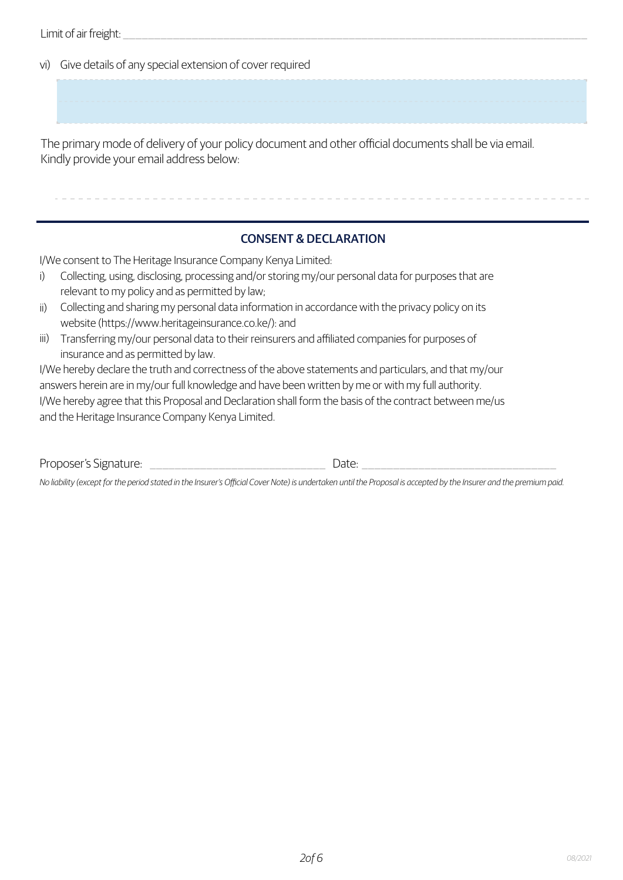Limit of air freight:

vi) Give details of any special extension of cover required

The primary mode of delivery of your policy document and other official documents shall be via email. Kindly provide your email address below:

## CONSENT & DECLARATION

I/We consent to The Heritage Insurance Company Kenya Limited:

- Collecting, using, disclosing, processing and/or storing my/our personal data for purposes that are relevant to my policy and as permitted by law; i)
- ii) Collecting and sharing my personal data information in accordance with the privacy policy on its website (https://www.heritageinsurance.co.ke/): and
- iii) Transferring my/our personal data to their reinsurers and affiliated companies for purposes of insurance and as permitted by law.

I/We hereby declare the truth and correctness of the above statements and particulars, and that my/our answers herein are in my/our full knowledge and have been written by me or with my full authority. I/We hereby agree that this Proposal and Declaration shall form the basis of the contract between me/us and the Heritage Insurance Company Kenya Limited.

Proposer's Signature: \_\_\_\_\_\_\_\_\_\_\_\_\_\_\_\_\_\_\_\_\_\_\_\_\_\_\_\_ Date: \_\_\_\_\_\_\_\_\_\_\_\_\_\_\_\_\_\_\_\_\_\_\_\_\_\_\_\_\_\_\_

*No liability (except for the period stated in the Insurer's Official Cover Note) is undertaken until the Proposal is accepted by the Insurer and the premium paid.*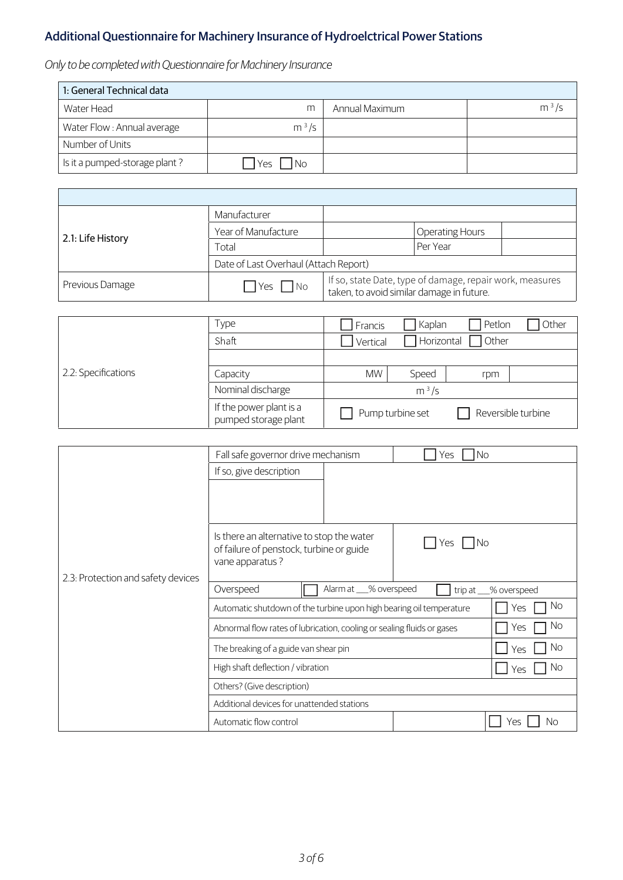## Additional Questionnaire for Machinery Insurance of Hydroelctrical Power Stations

*Only to be completed with Questionnaire for Machinery Insurance*

Ē

| 1: General Technical data     |                  |                |         |  |  |
|-------------------------------|------------------|----------------|---------|--|--|
| Water Head                    | m                | Annual Maximum | $m^3/s$ |  |  |
| Water Flow : Annual average   | $m^3/s$          |                |         |  |  |
| Number of Units               |                  |                |         |  |  |
| Is it a pumped-storage plant? | <b>No</b><br>Yes |                |         |  |  |

|                   | Manufacturer                          |                                                                                                       |                        |  |
|-------------------|---------------------------------------|-------------------------------------------------------------------------------------------------------|------------------------|--|
| 2.1: Life History | Year of Manufacture                   |                                                                                                       | <b>Operating Hours</b> |  |
|                   | Total                                 | Per Year                                                                                              |                        |  |
|                   | Date of Last Overhaul (Attach Report) |                                                                                                       |                        |  |
| Previous Damage   | No<br><b>I</b> Yes                    | If so, state Date, type of damage, repair work, measures<br>taken, to avoid similar damage in future. |                        |  |

|                     | Type                                            | Francis                                | Kaplan     | Petlon | Other |
|---------------------|-------------------------------------------------|----------------------------------------|------------|--------|-------|
| 2.2: Specifications | Shaft                                           | Vertical                               | Horizontal | Other  |       |
|                     |                                                 |                                        |            |        |       |
|                     | Capacity                                        | <b>MW</b>                              | Speed      | rpm    |       |
|                     | Nominal discharge                               | $m^3/s$                                |            |        |       |
|                     | If the power plant is a<br>pumped storage plant | Reversible turbine<br>Pump turbine set |            |        |       |

|                                    | Fall safe governor drive mechanism                                                                                     |  | No.<br>Yes |           |
|------------------------------------|------------------------------------------------------------------------------------------------------------------------|--|------------|-----------|
|                                    | If so, give description                                                                                                |  |            |           |
|                                    |                                                                                                                        |  |            |           |
|                                    |                                                                                                                        |  |            |           |
| 2.3: Protection and safety devices | Is there an alternative to stop the water<br>1No<br>Yes<br>of failure of penstock, turbine or guide<br>vane apparatus? |  |            |           |
|                                    |                                                                                                                        |  |            |           |
|                                    | Overspeed<br>Alarm at __% overspeed<br>trip at __% overspeed                                                           |  |            |           |
|                                    | Automatic shutdown of the turbine upon high bearing oil temperature<br>Yes                                             |  | No         |           |
|                                    | Abnormal flow rates of lubrication, cooling or sealing fluids or gases<br>Yes                                          |  | No         |           |
|                                    | The breaking of a guide van shear pin                                                                                  |  | No<br>Yes  |           |
|                                    | High shaft deflection / vibration<br>Yes                                                                               |  |            | No        |
|                                    | Others? (Give description)                                                                                             |  |            |           |
|                                    | Additional devices for unattended stations                                                                             |  |            |           |
|                                    | Automatic flow control                                                                                                 |  |            | No<br>Yes |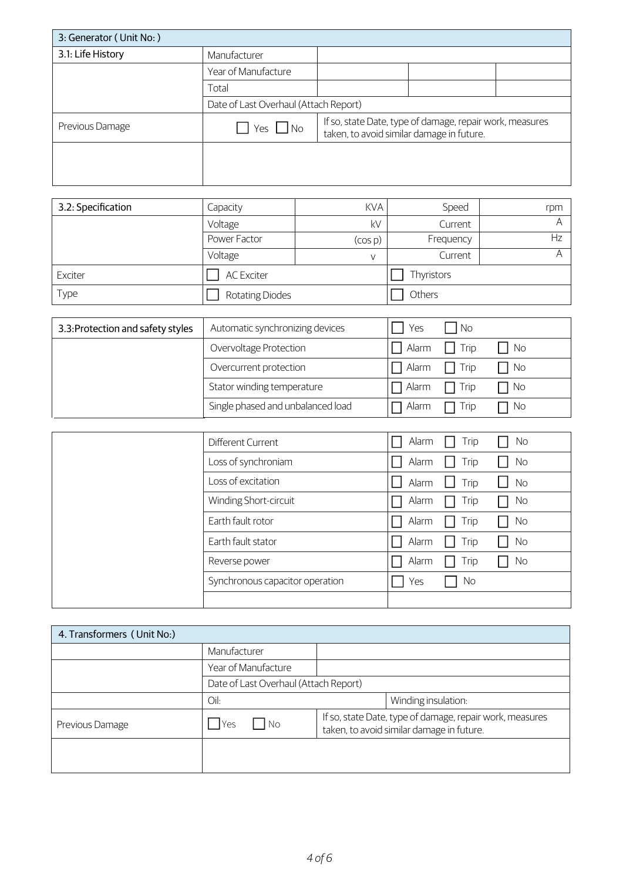| 3: Generator (Unit No: ) |                                       |                                                                                                       |  |  |
|--------------------------|---------------------------------------|-------------------------------------------------------------------------------------------------------|--|--|
| 3.1: Life History        | Manufacturer                          |                                                                                                       |  |  |
|                          | Year of Manufacture                   |                                                                                                       |  |  |
|                          | Total                                 |                                                                                                       |  |  |
|                          | Date of Last Overhaul (Attach Report) |                                                                                                       |  |  |
| Previous Damage          | Yes $\Box$ No                         | If so, state Date, type of damage, repair work, measures<br>taken, to avoid similar damage in future. |  |  |
|                          |                                       |                                                                                                       |  |  |
|                          |                                       |                                                                                                       |  |  |

| 3.2: Specification | Capacity               | <b>KVA</b> | Speed      | rpm |
|--------------------|------------------------|------------|------------|-----|
|                    | Voltage                | kV         | Current    |     |
|                    | Power Factor           | (COS D)    | Frequency  | Hz  |
|                    | Voltage                | V          | Current    |     |
| Exciter            | <b>AC Exciter</b>      |            | Thyristors |     |
| Type               | <b>Rotating Diodes</b> |            | Others     |     |

| 3.3: Protection and safety styles | Automatic synchronizing devices   | Yes          | No.             |           |
|-----------------------------------|-----------------------------------|--------------|-----------------|-----------|
|                                   | Overvoltage Protection            |              | Alarm   Trip    | No        |
|                                   | Overcurrent protection            | $\Box$ Alarm | Trip<br>$\Box$  | $\Box$ No |
|                                   | Stator winding temperature        | $\Box$ Alarm | Trip            | No        |
|                                   | Single phased and unbalanced load | Alarm        | Trip<br>$\perp$ | $\Box$ No |

| Different Current               | Alarm<br>Trip<br>No                                         |
|---------------------------------|-------------------------------------------------------------|
| Loss of synchroniam             | Alarm<br>Trip<br>No                                         |
| Loss of excitation              | Trip<br>Alarm<br><b>No</b><br>$\overline{\phantom{0}}$<br>Ш |
| Winding Short-circuit           | Alarm<br>Trip<br>No                                         |
| Earth fault rotor               | Alarm<br>Trip<br>No                                         |
| Earth fault stator              | Alarm<br>No<br>Trip                                         |
| Reverse power                   | Alarm<br>No<br>Trip                                         |
| Synchronous capacitor operation | No.<br>Yes                                                  |
|                                 |                                                             |

| 4. Transformers (Unit No.) |                                       |                                                                                                       |  |  |
|----------------------------|---------------------------------------|-------------------------------------------------------------------------------------------------------|--|--|
|                            | Manufacturer                          |                                                                                                       |  |  |
|                            | Year of Manufacture                   |                                                                                                       |  |  |
|                            | Date of Last Overhaul (Attach Report) |                                                                                                       |  |  |
|                            | Oil:                                  | Winding insulation:                                                                                   |  |  |
| Previous Damage            | l Yes<br>No                           | If so, state Date, type of damage, repair work, measures<br>taken, to avoid similar damage in future. |  |  |
|                            |                                       |                                                                                                       |  |  |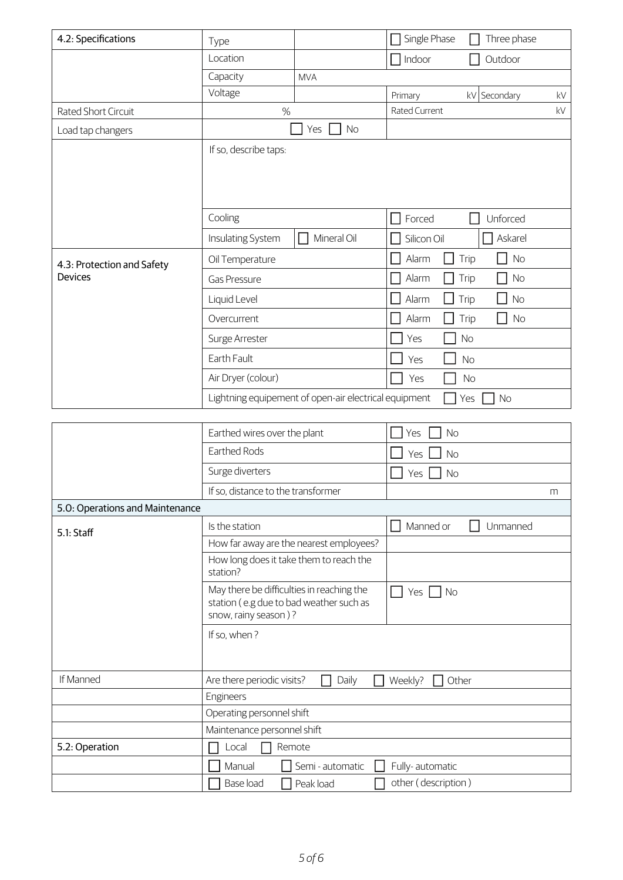| 4.2: Specifications             | Type                                                                                                         |                                                       | Single Phase                           | Three phase              |                        |
|---------------------------------|--------------------------------------------------------------------------------------------------------------|-------------------------------------------------------|----------------------------------------|--------------------------|------------------------|
|                                 | Location                                                                                                     |                                                       | Indoor                                 | Outdoor                  |                        |
|                                 | Capacity                                                                                                     | <b>MVA</b>                                            |                                        |                          |                        |
|                                 | Voltage                                                                                                      |                                                       | Primary                                | kV Secondary             | $\mathsf{k}\mathsf{V}$ |
| Rated Short Circuit             | %                                                                                                            |                                                       | Rated Current                          |                          | kV                     |
| Load tap changers               |                                                                                                              | No<br>Yes                                             |                                        |                          |                        |
|                                 | If so, describe taps:                                                                                        |                                                       |                                        |                          |                        |
|                                 | Cooling                                                                                                      |                                                       | Forced                                 | Unforced                 |                        |
|                                 | Insulating System                                                                                            | Mineral Oil                                           | Silicon Oil                            | Askarel                  |                        |
| 4.3: Protection and Safety      | Oil Temperature                                                                                              |                                                       | Alarm                                  | <b>No</b><br>Trip<br>- 1 |                        |
| <b>Devices</b>                  | <b>Gas Pressure</b>                                                                                          |                                                       | Alarm                                  | <b>No</b><br>Trip        |                        |
|                                 | Liquid Level                                                                                                 |                                                       | Alarm                                  | Trip<br><b>No</b>        |                        |
|                                 | Overcurrent                                                                                                  |                                                       | Alarm                                  | Trip<br><b>No</b>        |                        |
|                                 | Surge Arrester                                                                                               |                                                       | Yes                                    | <b>No</b>                |                        |
|                                 | Earth Fault                                                                                                  |                                                       | Yes                                    | <b>No</b>                |                        |
|                                 | Air Dryer (colour)                                                                                           |                                                       | Yes                                    | <b>No</b>                |                        |
|                                 |                                                                                                              | Lightning equipement of open-air electrical equipment |                                        | Yes<br><b>No</b>         |                        |
|                                 |                                                                                                              |                                                       |                                        |                          |                        |
|                                 | Earthed wires over the plant                                                                                 |                                                       | <b>No</b><br>Yes                       |                          |                        |
|                                 | Earthed Rods                                                                                                 |                                                       | <b>No</b><br>Yes                       |                          |                        |
|                                 | Surge diverters                                                                                              |                                                       | Yes<br><b>No</b>                       |                          |                        |
|                                 | If so, distance to the transformer                                                                           |                                                       |                                        |                          | m                      |
| 5.0: Operations and Maintenance |                                                                                                              |                                                       |                                        |                          |                        |
| 5.1: Staff                      | Is the station                                                                                               |                                                       | Manned or                              | Unmanned                 |                        |
|                                 |                                                                                                              | How far away are the nearest employees?               |                                        |                          |                        |
|                                 | How long does it take them to reach the<br>station?                                                          |                                                       |                                        |                          |                        |
|                                 | May there be difficulties in reaching the<br>station (e.g due to bad weather such as<br>snow, rainy season)? |                                                       | Yes $\Box$ No                          |                          |                        |
|                                 | If so, when?                                                                                                 |                                                       |                                        |                          |                        |
| If Manned                       | Are there periodic visits?                                                                                   | Daily<br>$\mathsf{L}$                                 | Weekly?                                | Other                    |                        |
|                                 | Engineers                                                                                                    |                                                       |                                        |                          |                        |
|                                 | Operating personnel shift                                                                                    |                                                       |                                        |                          |                        |
|                                 | Maintenance personnel shift                                                                                  |                                                       |                                        |                          |                        |
| 5.2: Operation                  | Local                                                                                                        | Remote                                                |                                        |                          |                        |
|                                 | Manual<br>Base load                                                                                          | Semi - automatic<br>Peak load                         | Fully-automatic<br>other (description) |                          |                        |